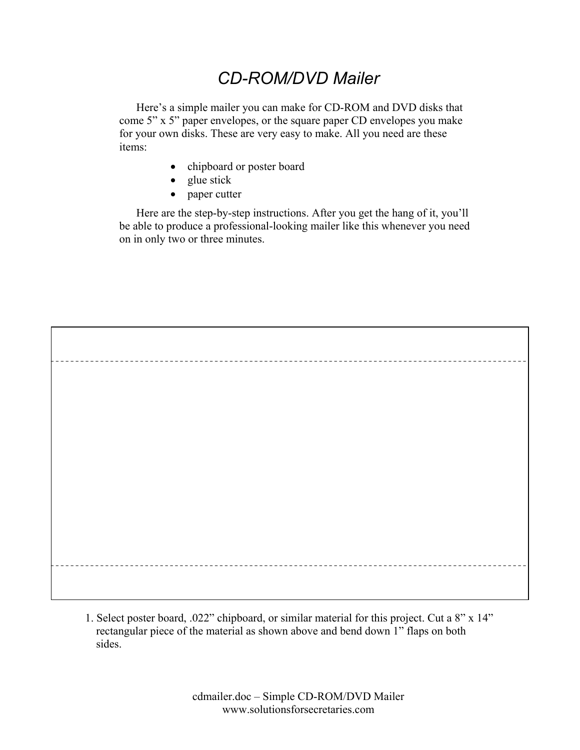## *CD-ROM/DVD Mailer*

Here's a simple mailer you can make for CD-ROM and DVD disks that come 5" x 5" paper envelopes, or the square paper CD envelopes you make for your own disks. These are very easy to make. All you need are these items:

- chipboard or poster board
- glue stick
- paper cutter

Here are the step-by-step instructions. After you get the hang of it, you'll be able to produce a professional-looking mailer like this whenever you need on in only two or three minutes.

1. Select poster board, .022" chipboard, or similar material for this project. Cut a 8" x 14" rectangular piece of the material as shown above and bend down 1" flaps on both sides.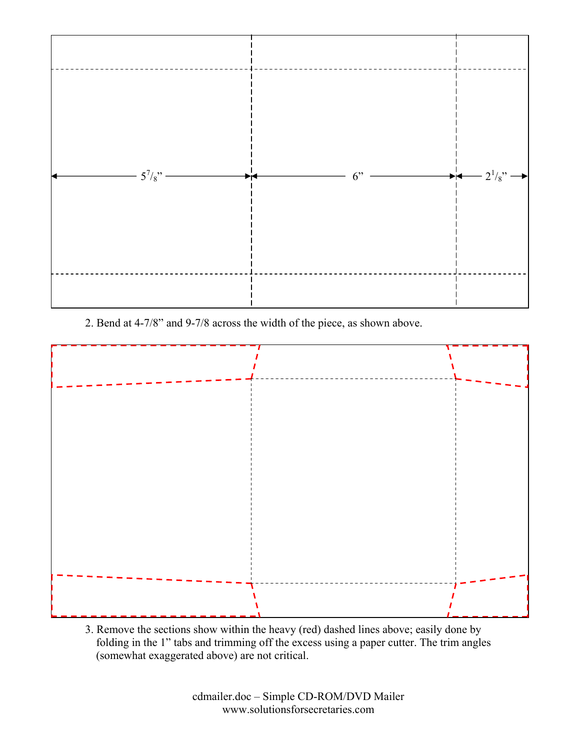

2. Bend at 4-7/8" and 9-7/8 across the width of the piece, as shown above.



3. Remove the sections show within the heavy (red) dashed lines above; easily done by folding in the 1" tabs and trimming off the excess using a paper cutter. The trim angles (somewhat exaggerated above) are not critical.